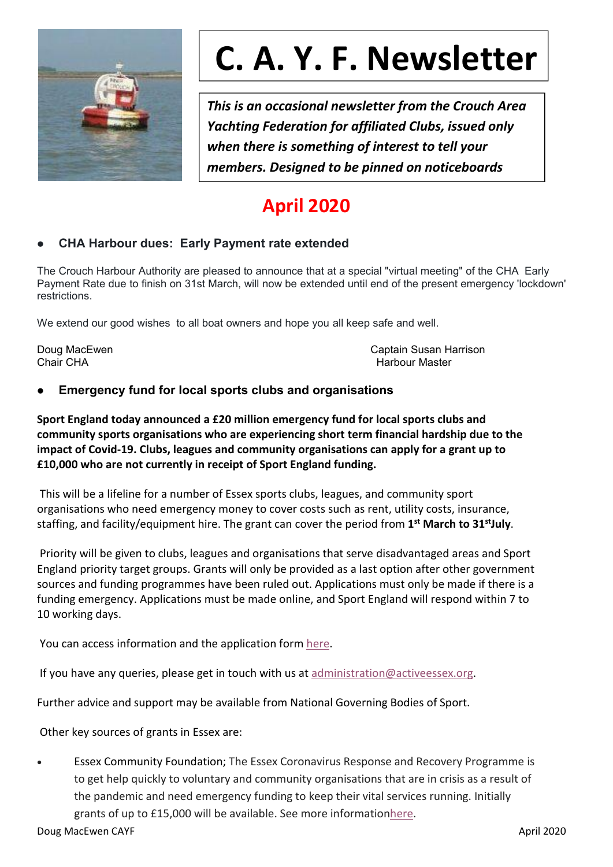

# **C. A. Y. F. Newsletter**

*This is an occasional newsletter from the Crouch Area Yachting Federation for affiliated Clubs, issued only when there is something of interest to tell your members. Designed to be pinned on noticeboards*

# **April 2020**

# **CHA Harbour dues: Early Payment rate extended**

The Crouch Harbour Authority are pleased to announce that at a special "virtual meeting" of the CHA Early Payment Rate due to finish on 31st March, will now be extended until end of the present emergency 'lockdown' restrictions.

We extend our good wishes to all boat owners and hope you all keep safe and well.

Doug MacEwen Captain Susan Harrison Chair CHA **Harbour Master** Chair CHA **Harbour Master Harbour Master** 

# **Emergency fund for local sports clubs and organisations**

**Sport England today announced a £20 million emergency fund for localsports clubs and community sports organisations who are experiencing shortterm financial hardship due to the impact of Covid-19. Clubs, leagues and community organisations can apply for a grant up to £10,000 who are not currently in receipt of Sport England funding.**

This will be a lifeline for a number of Essex sports clubs, leagues, and community sport organisations who need emergency money to cover costs such as rent, utility costs, insurance, staffing, and facility/equipment hire. The grant can cover the period from **1 st March to 31 stJuly**.

Priority will be given to clubs, leagues and organisations that serve disadvantaged areas and Sport England priority target groups. Grants will only be provided as a last option after other government sources and funding programmes have been ruled out. Applications must only be made if there is a funding emergency. Applications must be made online, and Sport England will respond within 7 to 10 working days.

You can access information and the application form [here](https://eur02.safelinks.protection.outlook.com/?url=https://www.sportengland.org/how-we-can-help/our-funds/community-emergency-fund&data=02|01||0fac9ccb9b0c4835d9ca08d7d58c226c|a8b4324f155c4215a0f17ed8cc9a992f|0|0|637212670149249440&sdata=+V0e+8BdbYjuOGmDRVTLZ7W9Ne+G3jy9CRwFp2P4OIo=&reserved=0).

If you have any queries, please get in touch with us at administration  $\omega$  activeessex.org.

Further advice and support may be available from National Governing Bodies of Sport.

Other key sources of grants in Essex are:

 Essex Community Foundation; The Essex Coronavirus Response and Recovery Programme is to get help quickly to voluntary and community organisations that are in crisis as a result of the pandemic and need emergency funding to keep their vital services running. Initially grants of up to £15,000 will be available. See more informatio[nhere](https://eur02.safelinks.protection.outlook.com/?url=https://www.essexcommunityfoundation.org.uk/&data=02|01||0fac9ccb9b0c4835d9ca08d7d58c226c|a8b4324f155c4215a0f17ed8cc9a992f|0|0|637212670149249440&sdata=Y9dup3hLG+Wj3LC4B39p7h4uqchMjpIIjasu/RZE6oU=&reserved=0).

Doug MacEwen CAYF April 2020